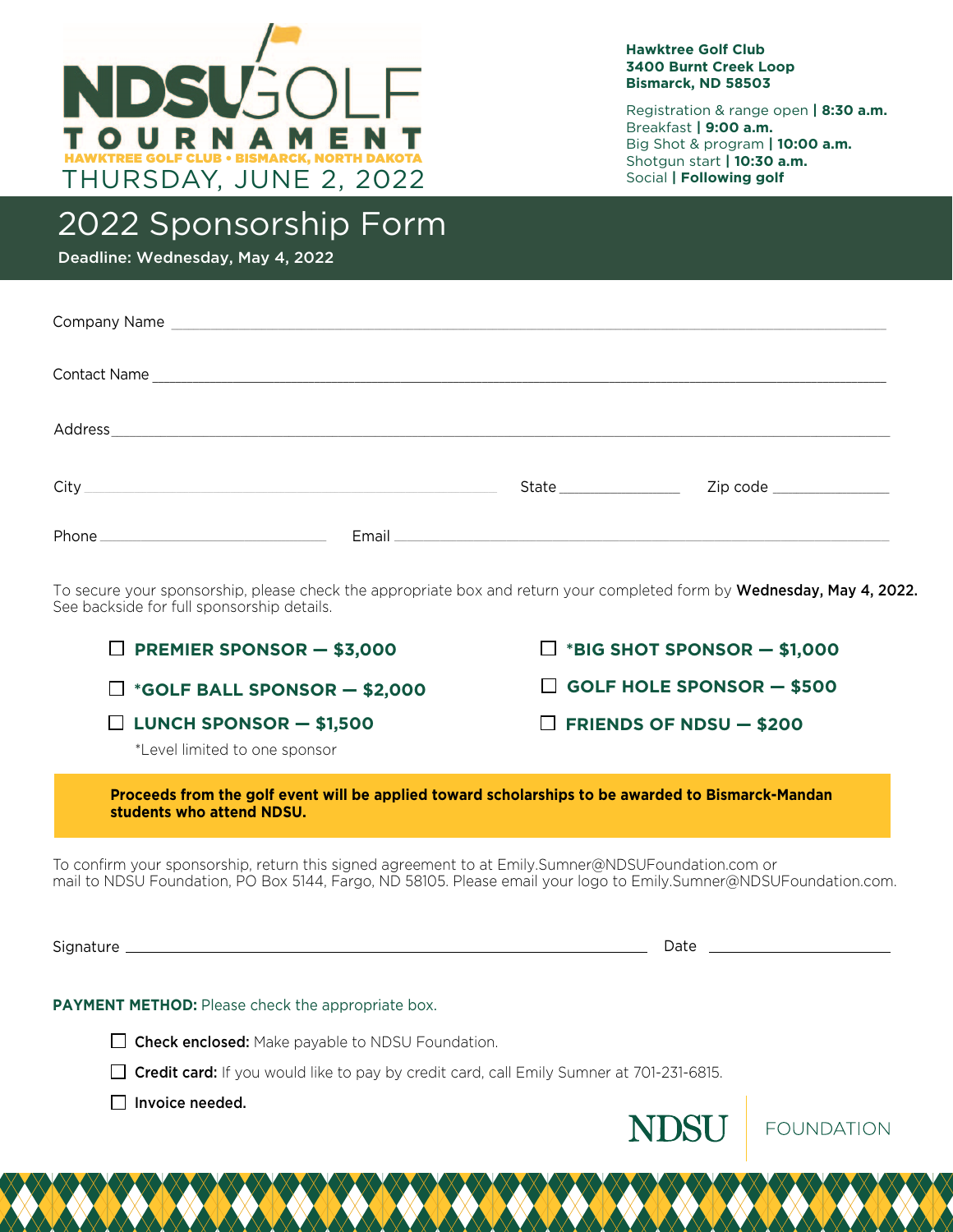

#### **Hawktree Golf Club 3400 Burnt Creek Loop Bismarck, ND 58503**

Registration & range open **| 8:30 a.m.** Breakfast **| 9:00 a.m.** Big Shot & program **| 10:00 a.m.** Shotgun start **| 10:30 a.m.** Social **| Following golf**

## 2022 Sponsorship Form

Deadline: Wednesday, May 4, 2022

| City <u>Canadian City City Communication</u> | State__________________ |  |
|----------------------------------------------|-------------------------|--|
|                                              |                         |  |

To secure your sponsorship, please check the appropriate box and return your completed form by **Wednesday, May 4, 2022.** See backside for full sponsorship details.

| $\Box$ PREMIER SPONSOR - \$3,000                                                                                               | $\Box$ *BIG SHOT SPONSOR $-$ \$1,000 |  |  |
|--------------------------------------------------------------------------------------------------------------------------------|--------------------------------------|--|--|
| $\Box$ *GOLF BALL SPONSOR $-$ \$2,000                                                                                          | $\Box$ GOLF HOLE SPONSOR $-$ \$500   |  |  |
| $\Box$ LUNCH SPONSOR $-$ \$1,500<br>*Level limited to one sponsor                                                              | $\Box$ FRIENDS OF NDSU $-$ \$200     |  |  |
| Proceeds from the golf event will be applied toward scholarships to be awarded to Bismarck-Mandan<br>students who attend NDSU. |                                      |  |  |

To confirm your sponsorship, return this signed agreement to at Emily.Sumner@NDSUFoundation.com or mail to NDSU Foundation, PO Box 5144, Fargo, ND 58105. Please email your logo to Emily.Sumner@NDSUFoundation.com.

Signature Date

#### **PAYMENT METHOD:** Please check the appropriate box.

 $\Box$  Check enclosed: Make payable to NDSU Foundation.

 $\Box$  Credit card: If you would like to pay by credit card, call Emily Sumner at 701-231-6815.

 $\Box$  Invoice needed.



**FOUNDATION**